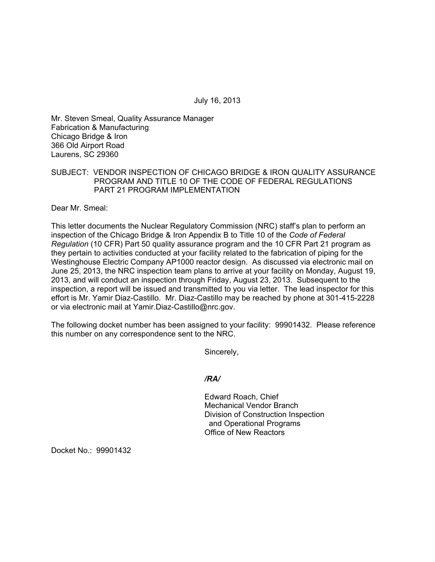July 16, 2013

Mr. Steven Smeal, Quality Assurance Manager Fabrication & Manufacturing Chicago Bridge & Iron 366 Old Airport Road Laurens, SC 29360

## SUBJECT: VENDOR INSPECTION OF CHICAGO BRIDGE & IRON QUALITY ASSURANCE PROGRAM AND TITLE 10 OF THE CODE OF FEDERAL REGULATIONS PART 21 PROGRAM IMPLEMENTATION

Dear Mr. Smeal:

This letter documents the Nuclear Regulatory Commission (NRC) staff's plan to perform an inspection of the Chicago Bridge & Iron Appendix B to Title 10 of the *Code of Federal Regulation* (10 CFR) Part 50 quality assurance program and the 10 CFR Part 21 program as they pertain to activities conducted at your facility related to the fabrication of piping for the Westinghouse Electric Company AP1000 reactor design. As discussed via electronic mail on June 25, 2013, the NRC inspection team plans to arrive at your facility on Monday, August 19, 2013, and will conduct an inspection through Friday, August 23, 2013. Subsequent to the inspection, a report will be issued and transmitted to you via letter. The lead inspector for this effort is Mr. Yamir Diaz-Castillo. Mr. Diaz-Castillo may be reached by phone at 301-415-2228 or via electronic mail at Yamir.Diaz-Castillo@nrc.gov.

The following docket number has been assigned to your facility: 99901432. Please reference this number on any correspondence sent to the NRC.

Sincerely,

*/RA/* 

Edward Roach, Chief Mechanical Vendor Branch Division of Construction Inspection and Operational Programs Office of New Reactors

Docket No.: 99901432